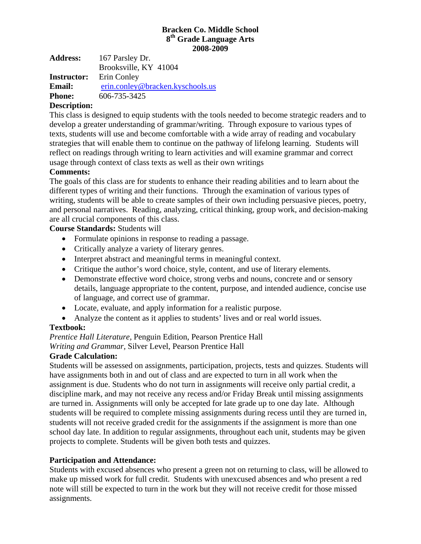#### **Bracken Co. Middle School 8th Grade Language Arts 2008-2009**

| <b>Address:</b>    | 167 Parsley Dr.                  |  |  |  |
|--------------------|----------------------------------|--|--|--|
|                    | Brooksville, KY 41004            |  |  |  |
| <b>Instructor:</b> | Erin Conley                      |  |  |  |
| <b>Email:</b>      | erin.conley@bracken.kyschools.us |  |  |  |
| <b>Phone:</b>      | 606-735-3425                     |  |  |  |
| <b>D</b>           |                                  |  |  |  |

# **Description:**

This class is designed to equip students with the tools needed to become strategic readers and to develop a greater understanding of grammar/writing. Through exposure to various types of texts, students will use and become comfortable with a wide array of reading and vocabulary strategies that will enable them to continue on the pathway of lifelong learning. Students will reflect on readings through writing to learn activities and will examine grammar and correct usage through context of class texts as well as their own writings

### **Comments:**

The goals of this class are for students to enhance their reading abilities and to learn about the different types of writing and their functions. Through the examination of various types of writing, students will be able to create samples of their own including persuasive pieces, poetry, and personal narratives. Reading, analyzing, critical thinking, group work, and decision-making are all crucial components of this class.

**Course Standards:** Students will

- Formulate opinions in response to reading a passage.
- Critically analyze a variety of literary genres.
- Interpret abstract and meaningful terms in meaningful context.
- Critique the author's word choice, style, content, and use of literary elements.
- Demonstrate effective word choice, strong verbs and nouns, concrete and or sensory details, language appropriate to the content, purpose, and intended audience, concise use of language, and correct use of grammar.
- Locate, evaluate, and apply information for a realistic purpose.
- Analyze the content as it applies to students' lives and or real world issues.

# **Textbook:**

*Prentice Hall Literature,* Penguin Edition, Pearson Prentice Hall

*Writing and Grammar,* Silver Level, Pearson Prentice Hall

### **Grade Calculation:**

Students will be assessed on assignments, participation, projects, tests and quizzes. Students will have assignments both in and out of class and are expected to turn in all work when the assignment is due. Students who do not turn in assignments will receive only partial credit, a discipline mark, and may not receive any recess and/or Friday Break until missing assignments are turned in. Assignments will only be accepted for late grade up to one day late. Although students will be required to complete missing assignments during recess until they are turned in, students will not receive graded credit for the assignments if the assignment is more than one school day late. In addition to regular assignments, throughout each unit, students may be given projects to complete. Students will be given both tests and quizzes.

### **Participation and Attendance:**

Students with excused absences who present a green not on returning to class, will be allowed to make up missed work for full credit. Students with unexcused absences and who present a red note will still be expected to turn in the work but they will not receive credit for those missed assignments.